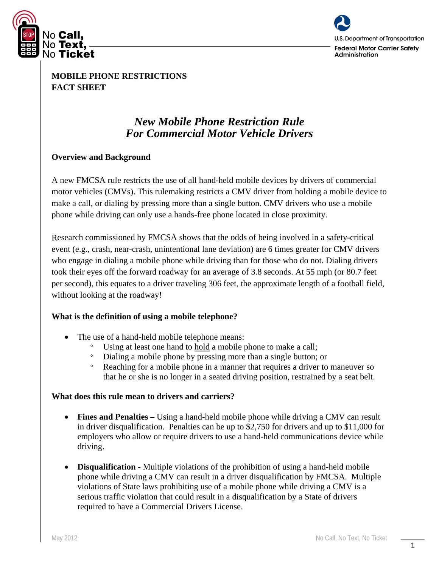



**MOBILE PHONE RESTRICTIONS FACT SHEET**

# *New Mobile Phone Restriction Rule For Commercial Motor Vehicle Drivers*

## **Overview and Background**

A new FMCSA rule restricts the use of all hand-held mobile devices by drivers of commercial motor vehicles (CMVs). This rulemaking restricts a CMV driver from holding a mobile device to make a call, or dialing by pressing more than a single button. CMV drivers who use a mobile phone while driving can only use a hands-free phone located in close proximity.

Research commissioned by FMCSA shows that the odds of being involved in a safety-critical event (e.g., crash, near-crash, unintentional lane deviation) are 6 times greater for CMV drivers who engage in dialing a mobile phone while driving than for those who do not. Dialing drivers took their eyes off the forward roadway for an average of 3.8 seconds. At 55 mph (or 80.7 feet per second), this equates to a driver traveling 306 feet, the approximate length of a football field, without looking at the roadway!

#### **What is the definition of using a mobile telephone?**

- The use of a hand-held mobile telephone means:
	- Using at least one hand to hold a mobile phone to make a call;
	- ° Dialing a mobile phone by pressing more than a single button; or
	- ° Reaching for a mobile phone in a manner that requires a driver to maneuver so that he or she is no longer in a seated driving position, restrained by a seat belt.

#### **What does this rule mean to drivers and carriers?**

- **Fines and Penalties** Using a hand-held mobile phone while driving a CMV can result in driver disqualification. Penalties can be up to \$2,750 for drivers and up to \$11,000 for employers who allow or require drivers to use a hand-held communications device while driving.
- **Disqualification -** Multiple violations of the prohibition of using a hand-held mobile phone while driving a CMV can result in a driver disqualification by FMCSA. Multiple violations of State laws prohibiting use of a mobile phone while driving a CMV is a serious traffic violation that could result in a disqualification by a State of drivers required to have a Commercial Drivers License.